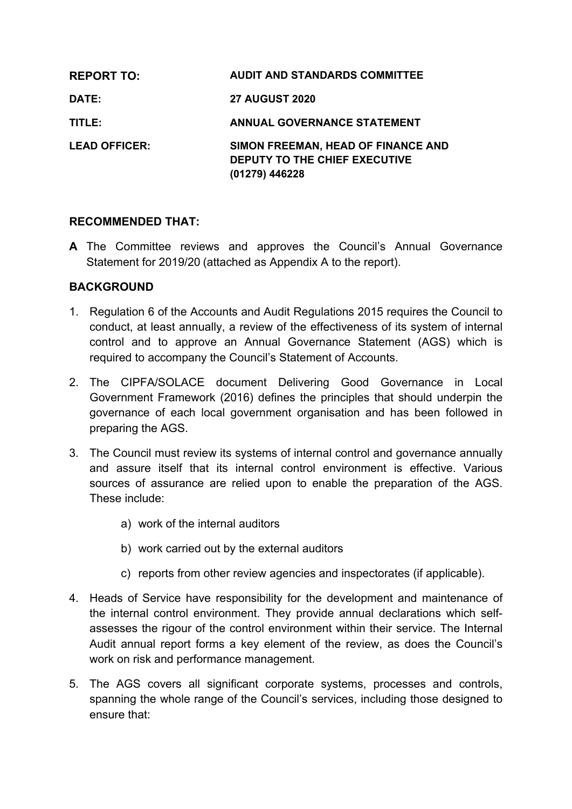| <b>REPORT TO:</b>    | <b>AUDIT AND STANDARDS COMMITTEE</b>                                                  |
|----------------------|---------------------------------------------------------------------------------------|
| <b>DATE:</b>         | <b>27 AUGUST 2020</b>                                                                 |
| TITLE:               | <b>ANNUAL GOVERNANCE STATEMENT</b>                                                    |
| <b>LEAD OFFICER:</b> | SIMON FREEMAN, HEAD OF FINANCE AND<br>DEPUTY TO THE CHIEF EXECUTIVE<br>(01279) 446228 |

# **RECOMMENDED THAT:**

**A** The Committee reviews and approves the Council's Annual Governance Statement for 2019/20 (attached as Appendix A to the report).

# **BACKGROUND**

- 1. Regulation 6 of the Accounts and Audit Regulations 2015 requires the Council to conduct, at least annually, a review of the effectiveness of its system of internal control and to approve an Annual Governance Statement (AGS) which is required to accompany the Council's Statement of Accounts.
- 2. The CIPFA/SOLACE document Delivering Good Governance in Local Government Framework (2016) defines the principles that should underpin the governance of each local government organisation and has been followed in preparing the AGS.
- 3. The Council must review its systems of internal control and governance annually and assure itself that its internal control environment is effective. Various sources of assurance are relied upon to enable the preparation of the AGS. These include:
	- a) work of the internal auditors
	- b) work carried out by the external auditors
	- c) reports from other review agencies and inspectorates (if applicable).
- 4. Heads of Service have responsibility for the development and maintenance of the internal control environment. They provide annual declarations which selfassesses the rigour of the control environment within their service. The Internal Audit annual report forms a key element of the review, as does the Council's work on risk and performance management.
- 5. The AGS covers all significant corporate systems, processes and controls, spanning the whole range of the Council's services, including those designed to ensure that: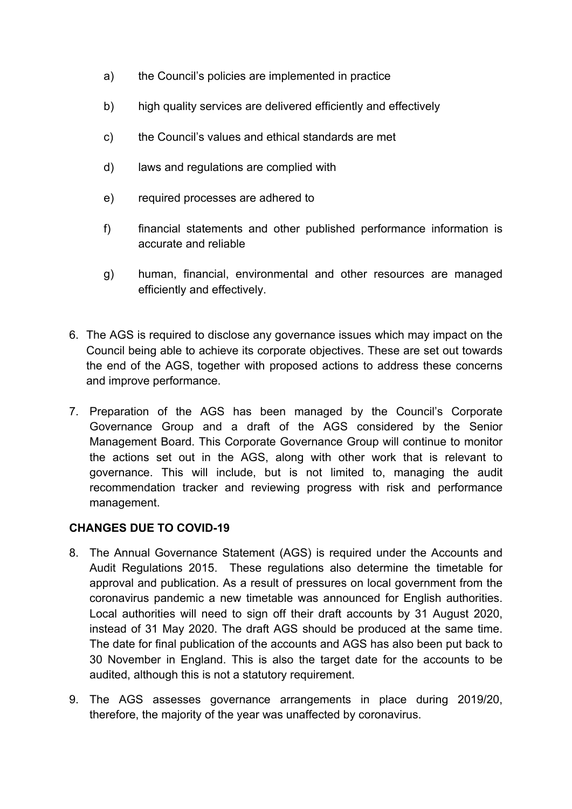- a) the Council's policies are implemented in practice
- b) high quality services are delivered efficiently and effectively
- c) the Council's values and ethical standards are met
- d) laws and regulations are complied with
- e) required processes are adhered to
- f) financial statements and other published performance information is accurate and reliable
- g) human, financial, environmental and other resources are managed efficiently and effectively.
- 6. The AGS is required to disclose any governance issues which may impact on the Council being able to achieve its corporate objectives. These are set out towards the end of the AGS, together with proposed actions to address these concerns and improve performance.
- 7. Preparation of the AGS has been managed by the Council's Corporate Governance Group and a draft of the AGS considered by the Senior Management Board. This Corporate Governance Group will continue to monitor the actions set out in the AGS, along with other work that is relevant to governance. This will include, but is not limited to, managing the audit recommendation tracker and reviewing progress with risk and performance management.

# **CHANGES DUE TO COVID-19**

- 8. The Annual Governance Statement (AGS) is required under the Accounts and Audit Regulations 2015. These regulations also determine the timetable for approval and publication. As a result of pressures on local government from the coronavirus pandemic a new timetable was announced for English authorities. Local authorities will need to sign off their draft accounts by 31 August 2020, instead of 31 May 2020. The draft AGS should be produced at the same time. The date for final publication of the accounts and AGS has also been put back to 30 November in England. This is also the target date for the accounts to be audited, although this is not a statutory requirement.
- 9. The AGS assesses governance arrangements in place during 2019/20, therefore, the majority of the year was unaffected by coronavirus.